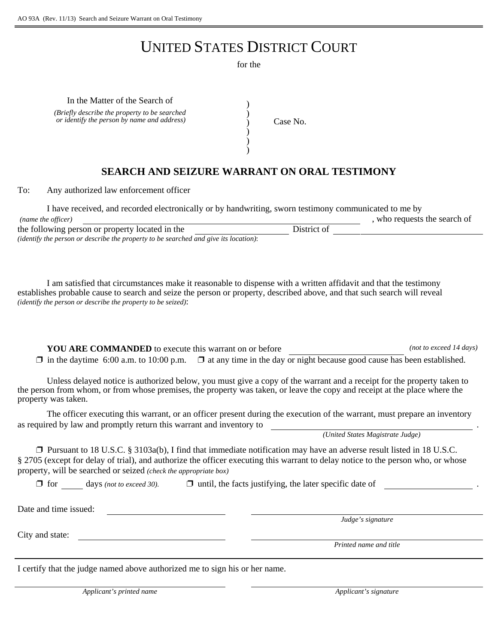## UNITED STATES DISTRICT COURT

for the

) ) ) ) )

In the Matter of the Search of *(Briefly describe the property to be searched or identify the person by name and address*)  $\bigg( \begin{array}{c} 0 \\ 0 \end{array} \big)$   $\bigg( \begin{array}{c} 0 \\ 0 \end{array} \big)$ 

## **SEARCH AND SEIZURE WARRANT ON ORAL TESTIMONY**

To: Any authorized law enforcement officer

| I have received, and recorded electronically or by handwriting, sworn testimony communicated to me by |             |                              |  |
|-------------------------------------------------------------------------------------------------------|-------------|------------------------------|--|
| (name the officer)                                                                                    |             | , who requests the search of |  |
| the following person or property located in the                                                       | District of |                              |  |
| <i>(identify the person or describe the property to be searched and give its location):</i>           |             |                              |  |

I am satisfied that circumstances make it reasonable to dispense with a written affidavit and that the testimony establishes probable cause to search and seize the person or property, described above, and that such search will reveal *(identify the person or describe the property to be seized)*:

**YOU ARE COMMANDED** to execute this warrant on or before *(not to exceed 14 days)*  $\Box$  in the daytime 6:00 a.m. to 10:00 p.m.  $\Box$  at any time in the day or night because good cause has been established.

Unless delayed notice is authorized below, you must give a copy of the warrant and a receipt for the property taken to the person from whom, or from whose premises, the property was taken, or leave the copy and receipt at the place where the property was taken.

The officer executing this warrant, or an officer present during the execution of the warrant, must prepare an inventory as required by law and promptly return this warrant and inventory to

*(United States Magistrate Judge)*

 $\Box$  Pursuant to 18 U.S.C. § 3103a(b), I find that immediate notification may have an adverse result listed in 18 U.S.C. § 2705 (except for delay of trial), and authorize the officer executing this warrant to delay notice to the person who, or whose property, will be searched or seized *(check the appropriate box)*

 $\Box$  for days *(not to exceed 30).*  $\Box$  until, the facts justifying, the later specific date of

Date and time issued:

City and state:

*Judge's signature*

*Printed name and title*

I certify that the judge named above authorized me to sign his or her name.